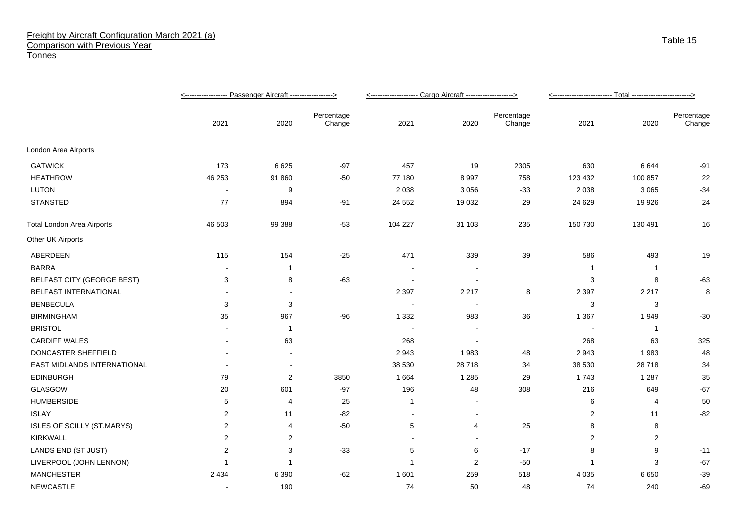## Freight by Aircraft Configuration March 2021 (a) Comparison with Previous Year **Tonnes**

|                                   |                          |                |                      | <-------------------- Cargo Aircraft -------------------> |                |                      |                |              |                      |
|-----------------------------------|--------------------------|----------------|----------------------|-----------------------------------------------------------|----------------|----------------------|----------------|--------------|----------------------|
|                                   | 2021                     | 2020           | Percentage<br>Change | 2021                                                      | 2020           | Percentage<br>Change | 2021           | 2020         | Percentage<br>Change |
| London Area Airports              |                          |                |                      |                                                           |                |                      |                |              |                      |
| <b>GATWICK</b>                    | 173                      | 6625           | $-97$                | 457                                                       | 19             | 2305                 | 630            | 6644         | -91                  |
| <b>HEATHROW</b>                   | 46 253                   | 91 860         | $-50$                | 77 180                                                    | 8997           | 758                  | 123 432        | 100 857      | 22                   |
| <b>LUTON</b>                      | $\blacksquare$           | 9              |                      | 2 0 3 8                                                   | 3 0 5 6        | $-33$                | 2 0 3 8        | 3 0 6 5      | $-34$                |
| <b>STANSTED</b>                   | 77                       | 894            | $-91$                | 24 5 52                                                   | 19 0 32        | 29                   | 24 6 29        | 19 9 26      | 24                   |
| <b>Total London Area Airports</b> | 46 503                   | 99 388         | $-53$                | 104 227                                                   | 31 103         | 235                  | 150 730        | 130 491      | 16                   |
| Other UK Airports                 |                          |                |                      |                                                           |                |                      |                |              |                      |
| ABERDEEN                          | 115                      | 154            | $-25$                | 471                                                       | 339            | 39                   | 586            | 493          | 19                   |
| <b>BARRA</b>                      |                          | 1              |                      |                                                           |                |                      | -1             | $\mathbf 1$  |                      |
| <b>BELFAST CITY (GEORGE BEST)</b> | 3                        | 8              | $-63$                |                                                           |                |                      | 3              | 8            | $-63$                |
| BELFAST INTERNATIONAL             | $\overline{\phantom{a}}$ | $\blacksquare$ |                      | 2 3 9 7                                                   | 2 2 1 7        | 8                    | 2 3 9 7        | 2 2 1 7      | 8                    |
| <b>BENBECULA</b>                  | 3                        | 3              |                      |                                                           | $\blacksquare$ |                      | 3              | 3            |                      |
| <b>BIRMINGHAM</b>                 | 35                       | 967            | $-96$                | 1 3 3 2                                                   | 983            | 36                   | 1 3 6 7        | 1949         | $-30$                |
| <b>BRISTOL</b>                    |                          | $\mathbf{1}$   |                      |                                                           |                |                      |                | $\mathbf{1}$ |                      |
| <b>CARDIFF WALES</b>              | $\overline{\phantom{a}}$ | 63             |                      | 268                                                       | $\sim$         |                      | 268            | 63           | 325                  |
| DONCASTER SHEFFIELD               |                          |                |                      | 2943                                                      | 1983           | 48                   | 2943           | 1983         | 48                   |
| EAST MIDLANDS INTERNATIONAL       |                          | $\blacksquare$ |                      | 38 530                                                    | 28718          | 34                   | 38 530         | 28718        | 34                   |
| <b>EDINBURGH</b>                  | 79                       | 2              | 3850                 | 1 6 6 4                                                   | 1 2 8 5        | 29                   | 1743           | 1 2 8 7      | 35                   |
| GLASGOW                           | 20                       | 601            | $-97$                | 196                                                       | 48             | 308                  | 216            | 649          | $-67$                |
| <b>HUMBERSIDE</b>                 | 5                        | 4              | 25                   | $\mathbf{1}$                                              |                |                      | 6              | 4            | 50                   |
| <b>ISLAY</b>                      | 2                        | 11             | $-82$                | $\blacksquare$                                            | $\sim$         |                      | 2              | 11           | $-82$                |
| ISLES OF SCILLY (ST.MARYS)        | $\overline{2}$           | 4              | $-50$                | $5\phantom{.0}$                                           | $\overline{4}$ | 25                   | 8              | 8            |                      |
| <b>KIRKWALL</b>                   | $\overline{2}$           | 2              |                      |                                                           |                |                      | $\overline{2}$ | 2            |                      |
| LANDS END (ST JUST)               | $\overline{2}$           | 3              | $-33$                | 5                                                         | 6              | $-17$                | 8              | 9            | $-11$                |
| LIVERPOOL (JOHN LENNON)           | $\mathbf 1$              | $\overline{1}$ |                      | $\mathbf{1}$                                              | 2              | $-50$                | -1             | 3            | $-67$                |
| <b>MANCHESTER</b>                 | 2 4 3 4                  | 6 3 9 0        | $-62$                | 1 601                                                     | 259            | 518                  | 4 0 3 5        | 6650         | $-39$                |
| <b>NEWCASTLE</b>                  |                          | 190            |                      | 74                                                        | 50             | 48                   | 74             | 240          | $-69$                |